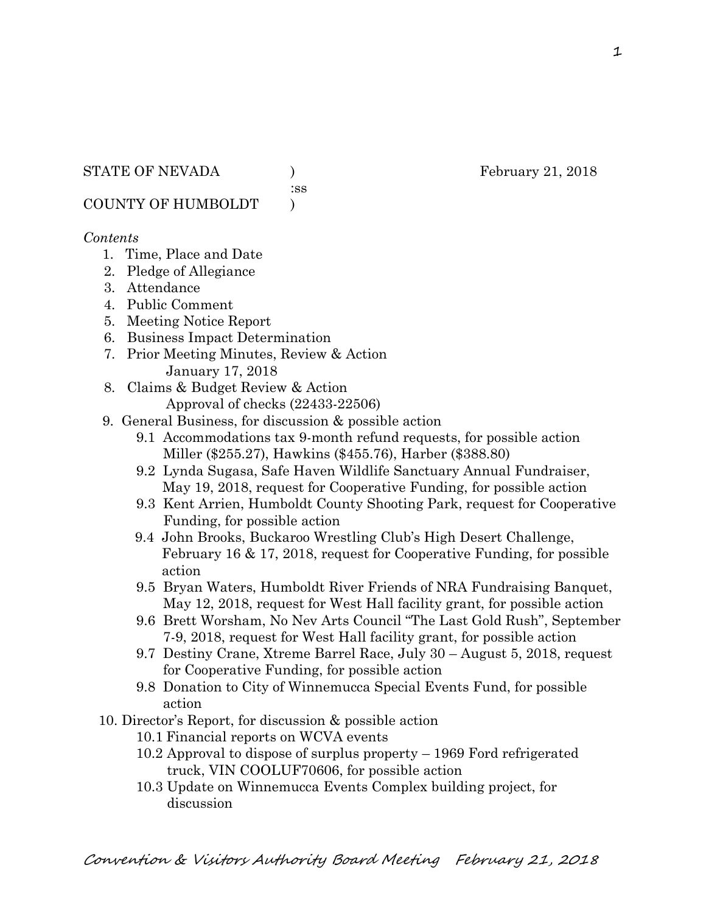:ss

COUNTY OF HUMBOLDT )

#### *Contents*

- 1. Time, Place and Date
- 2. Pledge of Allegiance
- 3. Attendance
- 4. Public Comment
- 5. Meeting Notice Report
- 6. Business Impact Determination
- 7. Prior Meeting Minutes, Review & Action January 17, 2018
- 8. Claims & Budget Review & Action
	- Approval of checks (22433-22506)
- 9. General Business, for discussion & possible action
	- 9.1 Accommodations tax 9-month refund requests, for possible action Miller (\$255.27), Hawkins (\$455.76), Harber (\$388.80)
	- 9.2 Lynda Sugasa, Safe Haven Wildlife Sanctuary Annual Fundraiser, May 19, 2018, request for Cooperative Funding, for possible action
	- 9.3 Kent Arrien, Humboldt County Shooting Park, request for Cooperative Funding, for possible action
	- 9.4 John Brooks, Buckaroo Wrestling Club's High Desert Challenge, February 16 & 17, 2018, request for Cooperative Funding, for possible action
	- 9.5 Bryan Waters, Humboldt River Friends of NRA Fundraising Banquet, May 12, 2018, request for West Hall facility grant, for possible action
	- 9.6 Brett Worsham, No Nev Arts Council "The Last Gold Rush", September 7-9, 2018, request for West Hall facility grant, for possible action
	- 9.7 Destiny Crane, Xtreme Barrel Race, July 30 August 5, 2018, request for Cooperative Funding, for possible action
	- 9.8 Donation to City of Winnemucca Special Events Fund, for possible action
- 10. Director's Report, for discussion & possible action
	- 10.1 Financial reports on WCVA events
	- 10.2 Approval to dispose of surplus property 1969 Ford refrigerated truck, VIN COOLUF70606, for possible action
	- 10.3 Update on Winnemucca Events Complex building project, for discussion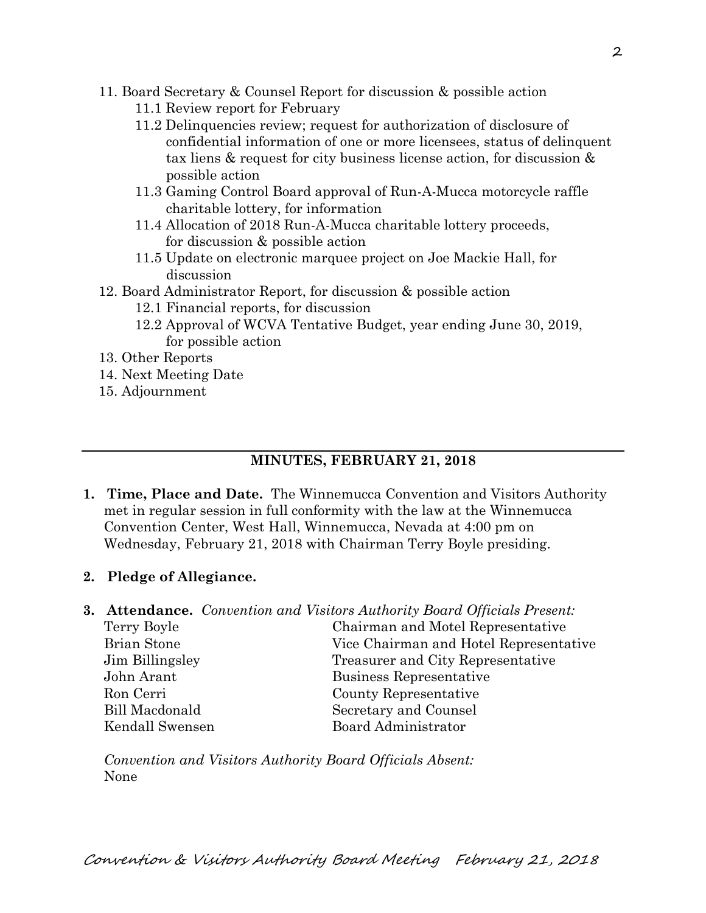- 11. Board Secretary & Counsel Report for discussion & possible action
	- 11.1 Review report for February
	- 11.2 Delinquencies review; request for authorization of disclosure of confidential information of one or more licensees, status of delinquent tax liens & request for city business license action, for discussion & possible action
	- 11.3 Gaming Control Board approval of Run-A-Mucca motorcycle raffle charitable lottery, for information
	- 11.4 Allocation of 2018 Run-A-Mucca charitable lottery proceeds, for discussion & possible action
	- 11.5 Update on electronic marquee project on Joe Mackie Hall, for discussion
- 12. Board Administrator Report, for discussion & possible action
	- 12.1 Financial reports, for discussion
	- 12.2 Approval of WCVA Tentative Budget, year ending June 30, 2019, for possible action
- 13. Other Reports
- 14. Next Meeting Date
- 15. Adjournment

# **MINUTES, FEBRUARY 21, 2018**

- **1. Time, Place and Date.** The Winnemucca Convention and Visitors Authority met in regular session in full conformity with the law at the Winnemucca Convention Center, West Hall, Winnemucca, Nevada at 4:00 pm on Wednesday, February 21, 2018 with Chairman Terry Boyle presiding.
- **2. Pledge of Allegiance.**
- **3. Attendance.** *Convention and Visitors Authority Board Officials Present:* 
	- Terry Boyle Chairman and Motel Representative Brian Stone Vice Chairman and Hotel Representative Jim Billingsley Treasurer and City Representative John Arant Business Representative Ron Cerri County Representative Bill Macdonald Secretary and Counsel Kendall Swensen Board Administrator

*Convention and Visitors Authority Board Officials Absent:*  None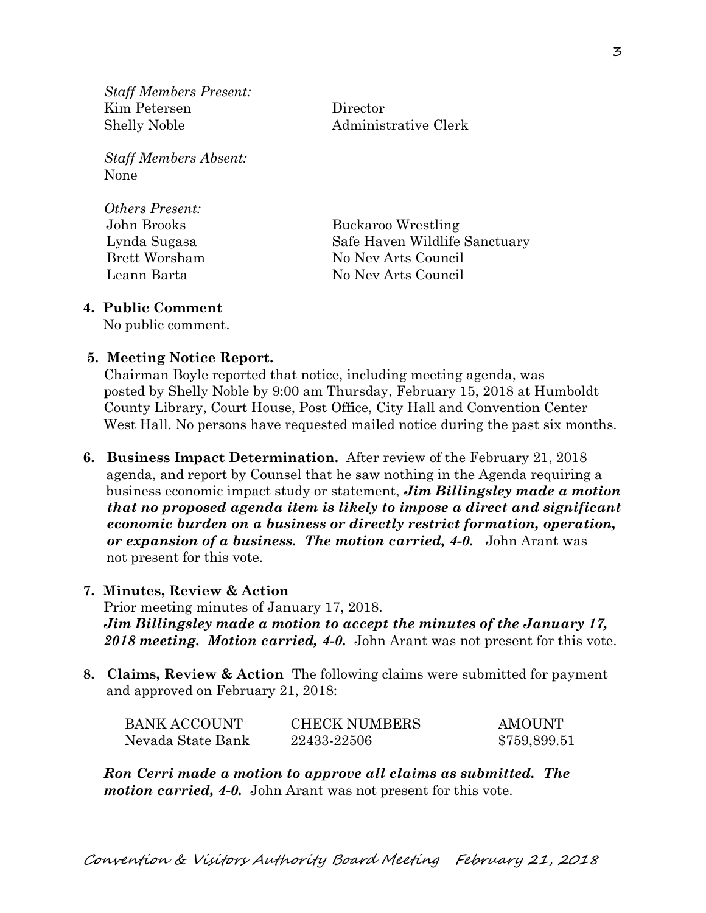*Staff Members Present:*  Kim Petersen Director Shelly Noble Administrative Clerk

*Staff Members Absent:*  None

*Others Present:* 

John Brooks Buckaroo Wrestling Lynda Sugasa Safe Haven Wildlife Sanctuary Brett Worsham No Nev Arts Council Leann Barta No Nev Arts Council

#### **4. Public Comment**

No public comment.

#### **5. Meeting Notice Report.**

Chairman Boyle reported that notice, including meeting agenda, was posted by Shelly Noble by 9:00 am Thursday, February 15, 2018 at Humboldt County Library, Court House, Post Office, City Hall and Convention Center West Hall. No persons have requested mailed notice during the past six months.

**6. Business Impact Determination.** After review of the February 21, 2018 agenda, and report by Counsel that he saw nothing in the Agenda requiring a business economic impact study or statement, *Jim Billingsley made a motion that no proposed agenda item is likely to impose a direct and significant economic burden on a business or directly restrict formation, operation, or expansion of a business. The motion carried, 4-0.* John Arant was not present for this vote.

#### **7. Minutes, Review & Action**

Prior meeting minutes of January 17, 2018. *Jim Billingsley made a motion to accept the minutes of the January 17, 2018 meeting. Motion carried, 4-0.* John Arant was not present for this vote.

**8. Claims, Review & Action** The following claims were submitted for payment and approved on February 21, 2018:

| <b>BANK ACCOUNT</b> | <b>CHECK NUMBERS</b> | <b>AMOUNT</b> |
|---------------------|----------------------|---------------|
| Nevada State Bank   | 22433-22506          | \$759,899.51  |

*Ron Cerri made a motion to approve all claims as submitted. The motion carried, 4-0.* John Arant was not present for this vote.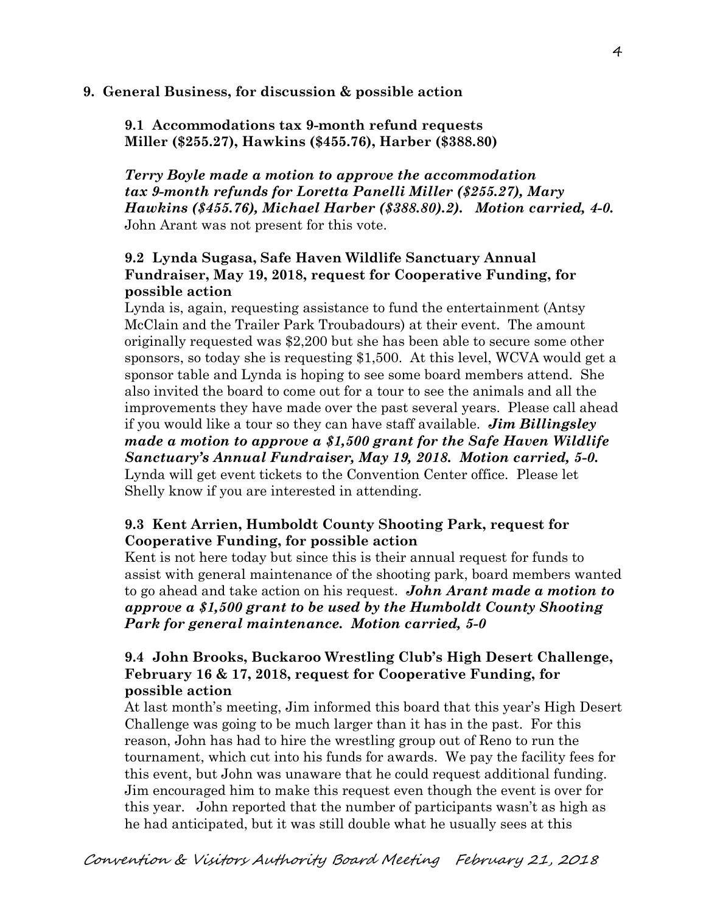#### **9. General Business, for discussion & possible action**

**9.1 Accommodations tax 9-month refund requests Miller (\$255.27), Hawkins (\$455.76), Harber (\$388.80)** 

*Terry Boyle made a motion to approve the accommodation tax 9-month refunds for Loretta Panelli Miller (\$255.27), Mary Hawkins (\$455.76), Michael Harber (\$388.80).2). Motion carried, 4-0.* John Arant was not present for this vote.

## **9.2 Lynda Sugasa, Safe Haven Wildlife Sanctuary Annual Fundraiser, May 19, 2018, request for Cooperative Funding, for possible action**

Lynda is, again, requesting assistance to fund the entertainment (Antsy McClain and the Trailer Park Troubadours) at their event. The amount originally requested was \$2,200 but she has been able to secure some other sponsors, so today she is requesting \$1,500. At this level, WCVA would get a sponsor table and Lynda is hoping to see some board members attend. She also invited the board to come out for a tour to see the animals and all the improvements they have made over the past several years. Please call ahead if you would like a tour so they can have staff available. *Jim Billingsley made a motion to approve a \$1,500 grant for the Safe Haven Wildlife Sanctuary's Annual Fundraiser, May 19, 2018. Motion carried, 5-0.*  Lynda will get event tickets to the Convention Center office. Please let Shelly know if you are interested in attending.

#### **9.3 Kent Arrien, Humboldt County Shooting Park, request for Cooperative Funding, for possible action**

Kent is not here today but since this is their annual request for funds to assist with general maintenance of the shooting park, board members wanted to go ahead and take action on his request. *John Arant made a motion to approve a \$1,500 grant to be used by the Humboldt County Shooting Park for general maintenance. Motion carried, 5-0*

### **9.4 John Brooks, Buckaroo Wrestling Club's High Desert Challenge, February 16 & 17, 2018, request for Cooperative Funding, for possible action**

At last month's meeting, Jim informed this board that this year's High Desert Challenge was going to be much larger than it has in the past. For this reason, John has had to hire the wrestling group out of Reno to run the tournament, which cut into his funds for awards. We pay the facility fees for this event, but John was unaware that he could request additional funding. Jim encouraged him to make this request even though the event is over for this year. John reported that the number of participants wasn't as high as he had anticipated, but it was still double what he usually sees at this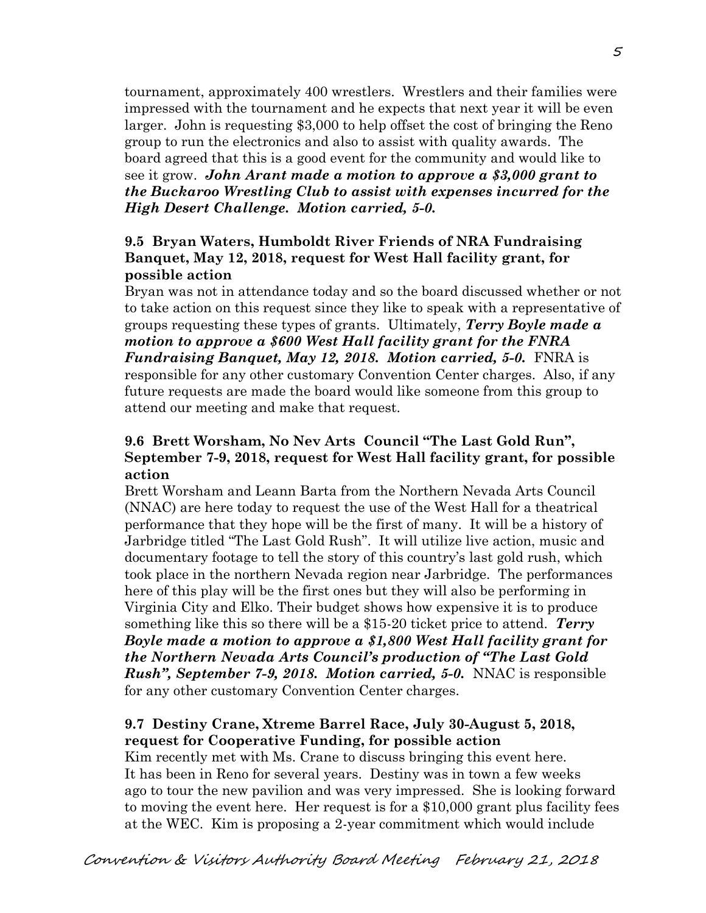tournament, approximately 400 wrestlers. Wrestlers and their families were impressed with the tournament and he expects that next year it will be even larger. John is requesting \$3,000 to help offset the cost of bringing the Reno group to run the electronics and also to assist with quality awards. The board agreed that this is a good event for the community and would like to see it grow. *John Arant made a motion to approve a \$3,000 grant to the Buckaroo Wrestling Club to assist with expenses incurred for the High Desert Challenge. Motion carried, 5-0.* 

## **9.5 Bryan Waters, Humboldt River Friends of NRA Fundraising Banquet, May 12, 2018, request for West Hall facility grant, for possible action**

Bryan was not in attendance today and so the board discussed whether or not to take action on this request since they like to speak with a representative of groups requesting these types of grants. Ultimately, *Terry Boyle made a motion to approve a \$600 West Hall facility grant for the FNRA Fundraising Banquet, May 12, 2018. Motion carried, 5-0.* FNRA is responsible for any other customary Convention Center charges. Also, if any future requests are made the board would like someone from this group to attend our meeting and make that request.

## **9.6 Brett Worsham, No Nev Arts Council "The Last Gold Run", September 7-9, 2018, request for West Hall facility grant, for possible action**

Brett Worsham and Leann Barta from the Northern Nevada Arts Council (NNAC) are here today to request the use of the West Hall for a theatrical performance that they hope will be the first of many. It will be a history of Jarbridge titled "The Last Gold Rush". It will utilize live action, music and documentary footage to tell the story of this country's last gold rush, which took place in the northern Nevada region near Jarbridge. The performances here of this play will be the first ones but they will also be performing in Virginia City and Elko. Their budget shows how expensive it is to produce something like this so there will be a \$15-20 ticket price to attend. *Terry Boyle made a motion to approve a \$1,800 West Hall facility grant for the Northern Nevada Arts Council's production of "The Last Gold Rush", September 7-9, 2018. Motion carried, 5-0.* NNAC is responsible for any other customary Convention Center charges.

# **9.7 Destiny Crane, Xtreme Barrel Race, July 30-August 5, 2018, request for Cooperative Funding, for possible action**

Kim recently met with Ms. Crane to discuss bringing this event here. It has been in Reno for several years. Destiny was in town a few weeks ago to tour the new pavilion and was very impressed. She is looking forward to moving the event here. Her request is for a \$10,000 grant plus facility fees at the WEC. Kim is proposing a 2-year commitment which would include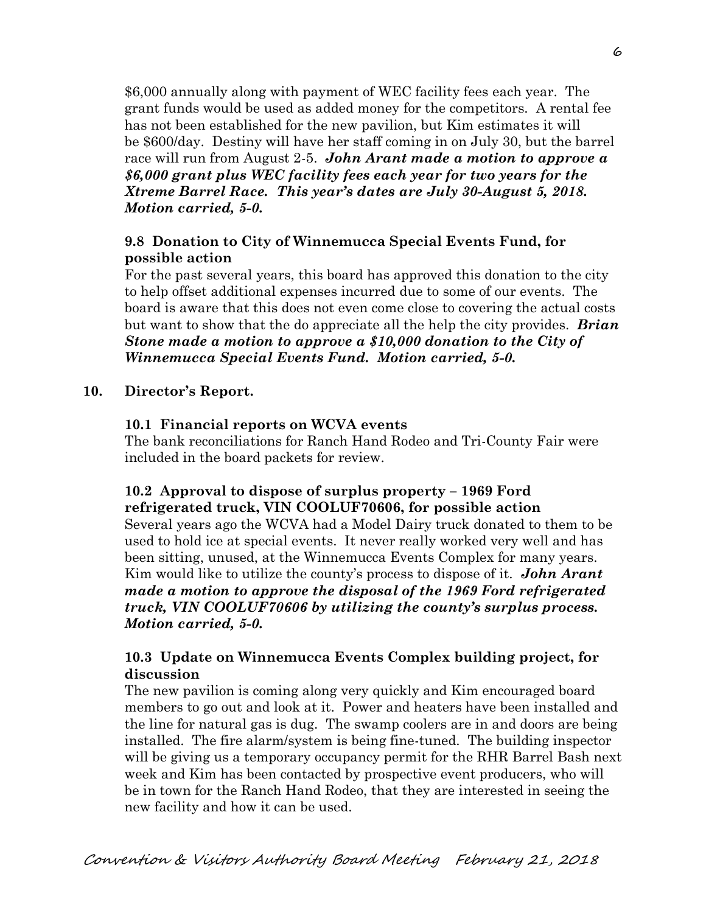\$6,000 annually along with payment of WEC facility fees each year. The grant funds would be used as added money for the competitors. A rental fee has not been established for the new pavilion, but Kim estimates it will be \$600/day. Destiny will have her staff coming in on July 30, but the barrel race will run from August 2-5. *John Arant made a motion to approve a \$6,000 grant plus WEC facility fees each year for two years for the Xtreme Barrel Race. This year's dates are July 30-August 5, 2018. Motion carried, 5-0.* 

## **9.8 Donation to City of Winnemucca Special Events Fund, for possible action**

For the past several years, this board has approved this donation to the city to help offset additional expenses incurred due to some of our events. The board is aware that this does not even come close to covering the actual costs but want to show that the do appreciate all the help the city provides. *Brian Stone made a motion to approve a \$10,000 donation to the City of Winnemucca Special Events Fund. Motion carried, 5-0.*

#### **10. Director's Report.**

#### **10.1 Financial reports on WCVA events**

The bank reconciliations for Ranch Hand Rodeo and Tri-County Fair were included in the board packets for review.

## **10.2 Approval to dispose of surplus property – 1969 Ford refrigerated truck, VIN COOLUF70606, for possible action**

Several years ago the WCVA had a Model Dairy truck donated to them to be used to hold ice at special events. It never really worked very well and has been sitting, unused, at the Winnemucca Events Complex for many years. Kim would like to utilize the county's process to dispose of it. *John Arant made a motion to approve the disposal of the 1969 Ford refrigerated truck, VIN COOLUF70606 by utilizing the county's surplus process. Motion carried, 5-0.*

## **10.3 Update on Winnemucca Events Complex building project, for discussion**

The new pavilion is coming along very quickly and Kim encouraged board members to go out and look at it. Power and heaters have been installed and the line for natural gas is dug. The swamp coolers are in and doors are being installed. The fire alarm/system is being fine-tuned. The building inspector will be giving us a temporary occupancy permit for the RHR Barrel Bash next week and Kim has been contacted by prospective event producers, who will be in town for the Ranch Hand Rodeo, that they are interested in seeing the new facility and how it can be used.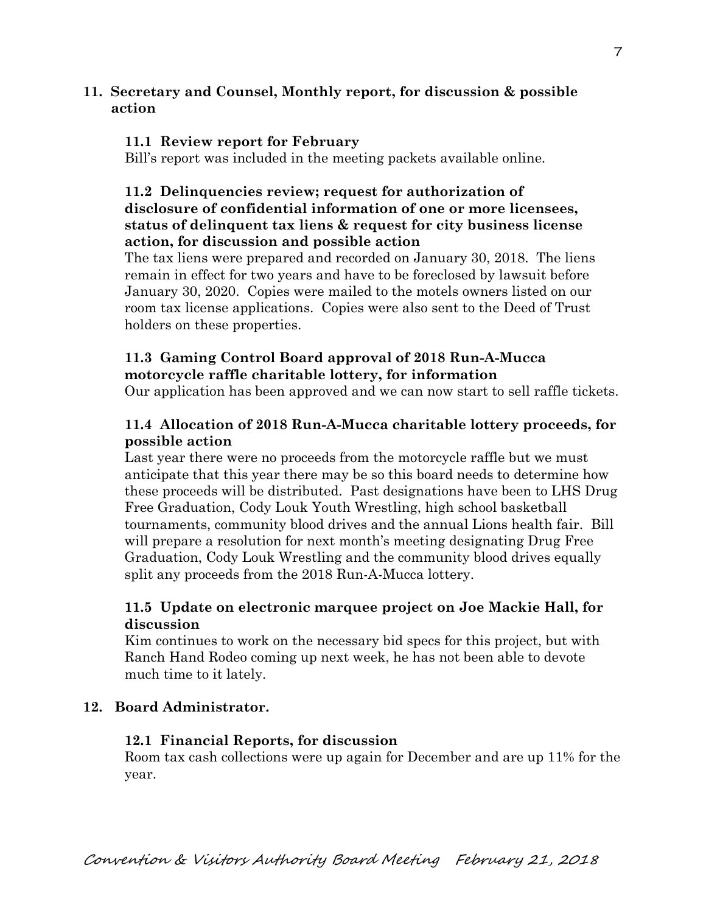### **11. Secretary and Counsel, Monthly report, for discussion & possible action**

## **11.1 Review report for February**

Bill's report was included in the meeting packets available online.

### **11.2 Delinquencies review; request for authorization of disclosure of confidential information of one or more licensees, status of delinquent tax liens & request for city business license action, for discussion and possible action**

The tax liens were prepared and recorded on January 30, 2018. The liens remain in effect for two years and have to be foreclosed by lawsuit before January 30, 2020. Copies were mailed to the motels owners listed on our room tax license applications. Copies were also sent to the Deed of Trust holders on these properties.

# **11.3 Gaming Control Board approval of 2018 Run-A-Mucca motorcycle raffle charitable lottery, for information**

Our application has been approved and we can now start to sell raffle tickets.

# **11.4 Allocation of 2018 Run-A-Mucca charitable lottery proceeds, for possible action**

Last year there were no proceeds from the motorcycle raffle but we must anticipate that this year there may be so this board needs to determine how these proceeds will be distributed. Past designations have been to LHS Drug Free Graduation, Cody Louk Youth Wrestling, high school basketball tournaments, community blood drives and the annual Lions health fair. Bill will prepare a resolution for next month's meeting designating Drug Free Graduation, Cody Louk Wrestling and the community blood drives equally split any proceeds from the 2018 Run-A-Mucca lottery.

# **11.5 Update on electronic marquee project on Joe Mackie Hall, for discussion**

Kim continues to work on the necessary bid specs for this project, but with Ranch Hand Rodeo coming up next week, he has not been able to devote much time to it lately.

# **12. Board Administrator.**

# **12.1 Financial Reports, for discussion**

Room tax cash collections were up again for December and are up 11% for the year.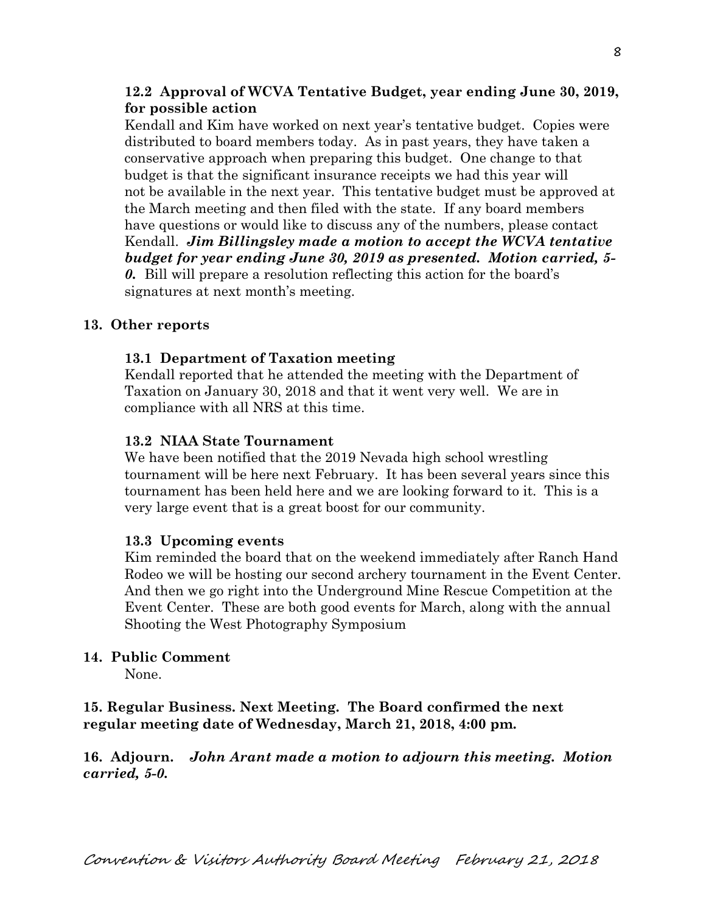### **12.2 Approval of WCVA Tentative Budget, year ending June 30, 2019, for possible action**

Kendall and Kim have worked on next year's tentative budget. Copies were distributed to board members today. As in past years, they have taken a conservative approach when preparing this budget. One change to that budget is that the significant insurance receipts we had this year will not be available in the next year. This tentative budget must be approved at the March meeting and then filed with the state. If any board members have questions or would like to discuss any of the numbers, please contact Kendall. *Jim Billingsley made a motion to accept the WCVA tentative budget for year ending June 30, 2019 as presented. Motion carried, 5- 0.* Bill will prepare a resolution reflecting this action for the board's signatures at next month's meeting.

#### **13. Other reports**

#### **13.1 Department of Taxation meeting**

Kendall reported that he attended the meeting with the Department of Taxation on January 30, 2018 and that it went very well. We are in compliance with all NRS at this time.

#### **13.2 NIAA State Tournament**

We have been notified that the 2019 Nevada high school wrestling tournament will be here next February. It has been several years since this tournament has been held here and we are looking forward to it. This is a very large event that is a great boost for our community.

#### **13.3 Upcoming events**

Kim reminded the board that on the weekend immediately after Ranch Hand Rodeo we will be hosting our second archery tournament in the Event Center. And then we go right into the Underground Mine Rescue Competition at the Event Center. These are both good events for March, along with the annual Shooting the West Photography Symposium

#### **14. Public Comment**

None.

**15. Regular Business. Next Meeting. The Board confirmed the next regular meeting date of Wednesday, March 21, 2018, 4:00 pm.** 

**16. Adjourn.** *John Arant made a motion to adjourn this meeting. Motion carried, 5-0.*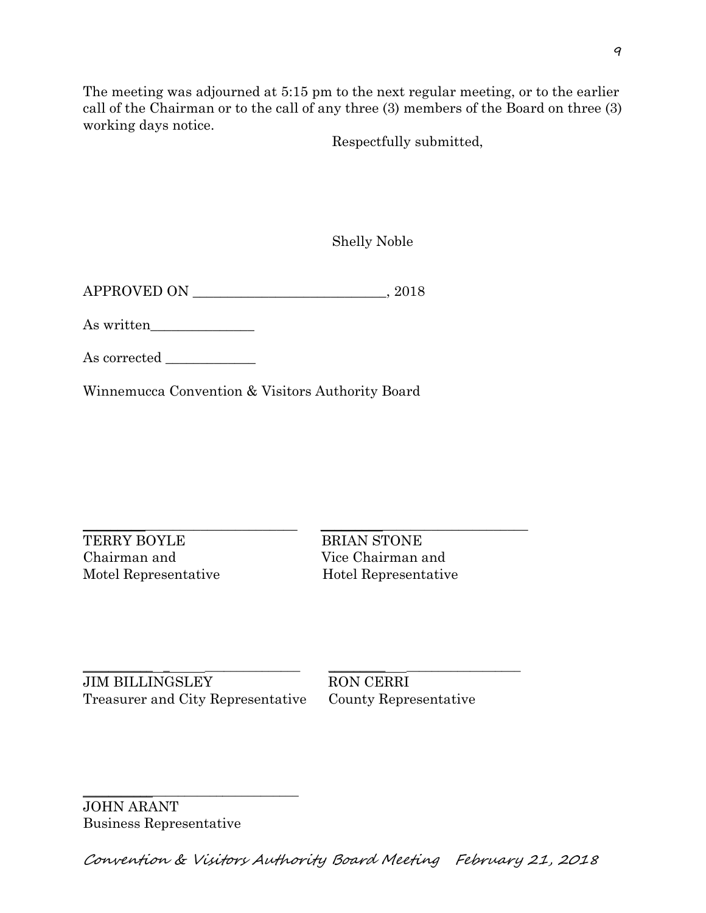The meeting was adjourned at 5:15 pm to the next regular meeting, or to the earlier call of the Chairman or to the call of any three (3) members of the Board on three (3) working days notice.

Respectfully submitted,

Shelly Noble

APPROVED ON \_\_\_\_\_\_\_\_\_\_\_\_\_\_\_\_\_\_\_\_\_\_\_\_\_\_\_\_, 2018

As written\_\_\_\_\_\_\_\_\_\_\_\_\_\_\_

As corrected

Winnemucca Convention & Visitors Authority Board

TERRY BOYLE BRIAN STONE Chairman and Vice Chairman and Motel Representative Hotel Representative

 $\_$  ,  $\_$  ,  $\_$  ,  $\_$  ,  $\_$  ,  $\_$  ,  $\_$  ,  $\_$  ,  $\_$  ,  $\_$  ,  $\_$  ,  $\_$  ,  $\_$  ,  $\_$  ,  $\_$  ,  $\_$  ,  $\_$  ,  $\_$  ,  $\_$  ,  $\_$  ,  $\_$  ,  $\_$  ,  $\_$  ,  $\_$  ,  $\_$  ,  $\_$  ,  $\_$  ,  $\_$  ,  $\_$  ,  $\_$  ,  $\_$  ,  $\_$  ,  $\_$  ,  $\_$  ,  $\_$  ,  $\_$  ,  $\_$  ,

\_\_\_\_\_\_\_\_\_\_\_ \_ \_\_\_\_\_\_\_\_\_\_\_\_\_\_\_ \_\_\_\_\_\_\_\_\_ \_\_\_\_\_\_\_\_\_\_\_\_\_\_\_\_\_\_ JIM BILLINGSLEY RON CERRI Treasurer and City Representative County Representative

\_\_\_\_\_\_\_\_\_\_\_\_\_\_\_\_\_\_\_\_\_\_\_\_\_\_\_\_\_\_\_\_\_\_

JOHN ARANT Business Representative